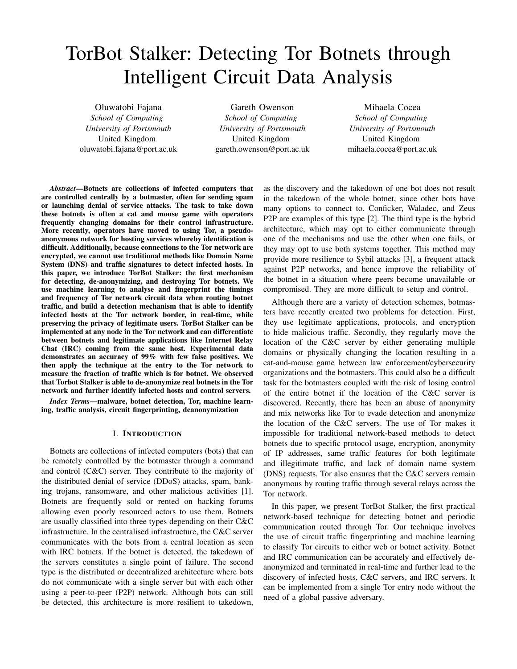# TorBot Stalker: Detecting Tor Botnets through Intelligent Circuit Data Analysis

Oluwatobi Fajana *School of Computing University of Portsmouth* United Kingdom oluwatobi.fajana@port.ac.uk

Gareth Owenson *School of Computing University of Portsmouth* United Kingdom gareth.owenson@port.ac.uk

Mihaela Cocea *School of Computing University of Portsmouth* United Kingdom mihaela.cocea@port.ac.uk

*Abstract*—Botnets are collections of infected computers that are controlled centrally by a botmaster, often for sending spam or launching denial of service attacks. The task to take down these botnets is often a cat and mouse game with operators frequently changing domains for their control infrastructure. More recently, operators have moved to using Tor, a pseudoanonymous network for hosting services whereby identification is difficult. Additionally, because connections to the Tor network are encrypted, we cannot use traditional methods like Domain Name System (DNS) and traffic signatures to detect infected hosts. In this paper, we introduce TorBot Stalker: the first mechanism for detecting, de-anonymizing, and destroying Tor botnets. We use machine learning to analyse and fingerprint the timings and frequency of Tor network circuit data when routing botnet traffic, and build a detection mechanism that is able to identify infected hosts at the Tor network border, in real-time, while preserving the privacy of legitimate users. TorBot Stalker can be implemented at any node in the Tor network and can differentiate between botnets and legitimate applications like Internet Relay Chat (IRC) coming from the same host. Experimental data demonstrates an accuracy of 99% with few false positives. We then apply the technique at the entry to the Tor network to measure the fraction of traffic which is for botnet. We observed that Torbot Stalker is able to de-anonymize real botnets in the Tor network and further identify infected hosts and control servers.

*Index Terms*—malware, botnet detection, Tor, machine learning, traffic analysis, circuit fingerprinting, deanonymization

#### I. INTRODUCTION

Botnets are collections of infected computers (bots) that can be remotely controlled by the botmaster through a command and control (C&C) server. They contribute to the majority of the distributed denial of service (DDoS) attacks, spam, banking trojans, ransomware, and other malicious activities [1]. Botnets are frequently sold or rented on hacking forums allowing even poorly resourced actors to use them. Botnets are usually classified into three types depending on their C&C infrastructure. In the centralised infrastructure, the C&C server communicates with the bots from a central location as seen with IRC botnets. If the botnet is detected, the takedown of the servers constitutes a single point of failure. The second type is the distributed or decentralized architecture where bots do not communicate with a single server but with each other using a peer-to-peer (P2P) network. Although bots can still be detected, this architecture is more resilient to takedown,

as the discovery and the takedown of one bot does not result in the takedown of the whole botnet, since other bots have many options to connect to. Conficker, Waladec, and Zeus P2P are examples of this type [2]. The third type is the hybrid architecture, which may opt to either communicate through one of the mechanisms and use the other when one fails, or they may opt to use both systems together. This method may provide more resilience to Sybil attacks [3], a frequent attack against P2P networks, and hence improve the reliability of the botnet in a situation where peers become unavailable or compromised. They are more difficult to setup and control.

Although there are a variety of detection schemes, botmasters have recently created two problems for detection. First, they use legitimate applications, protocols, and encryption to hide malicious traffic. Secondly, they regularly move the location of the C&C server by either generating multiple domains or physically changing the location resulting in a cat-and-mouse game between law enforcement/cybersecurity organizations and the botmasters. This could also be a difficult task for the botmasters coupled with the risk of losing control of the entire botnet if the location of the C&C server is discovered. Recently, there has been an abuse of anonymity and mix networks like Tor to evade detection and anonymize the location of the C&C servers. The use of Tor makes it impossible for traditional network-based methods to detect botnets due to specific protocol usage, encryption, anonymity of IP addresses, same traffic features for both legitimate and illegitimate traffic, and lack of domain name system (DNS) requests. Tor also ensures that the C&C servers remain anonymous by routing traffic through several relays across the Tor network.

In this paper, we present TorBot Stalker, the first practical network-based technique for detecting botnet and periodic communication routed through Tor. Our technique involves the use of circuit traffic fingerprinting and machine learning to classify Tor circuits to either web or botnet activity. Botnet and IRC communication can be accurately and effectively deanonymized and terminated in real-time and further lead to the discovery of infected hosts, C&C servers, and IRC servers. It can be implemented from a single Tor entry node without the need of a global passive adversary.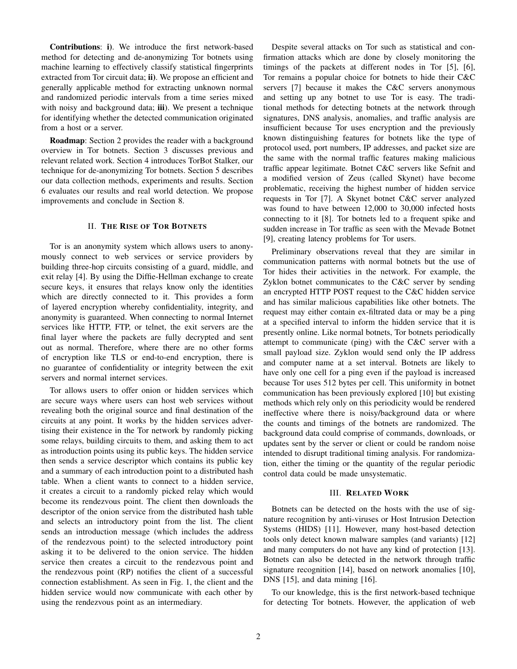Contributions: i). We introduce the first network-based method for detecting and de-anonymizing Tor botnets using machine learning to effectively classify statistical fingerprints extracted from Tor circuit data; ii). We propose an efficient and generally applicable method for extracting unknown normal and randomized periodic intervals from a time series mixed with noisy and background data; **iii**). We present a technique for identifying whether the detected communication originated from a host or a server.

Roadmap: Section 2 provides the reader with a background overview in Tor botnets. Section 3 discusses previous and relevant related work. Section 4 introduces TorBot Stalker, our technique for de-anonymizing Tor botnets. Section 5 describes our data collection methods, experiments and results. Section 6 evaluates our results and real world detection. We propose improvements and conclude in Section 8.

## II. THE RISE OF TOR BOTNETS

Tor is an anonymity system which allows users to anonymously connect to web services or service providers by building three-hop circuits consisting of a guard, middle, and exit relay [4]. By using the Diffie-Hellman exchange to create secure keys, it ensures that relays know only the identities which are directly connected to it. This provides a form of layered encryption whereby confidentiality, integrity, and anonymity is guaranteed. When connecting to normal Internet services like HTTP, FTP, or telnet, the exit servers are the final layer where the packets are fully decrypted and sent out as normal. Therefore, where there are no other forms of encryption like TLS or end-to-end encryption, there is no guarantee of confidentiality or integrity between the exit servers and normal internet services.

Tor allows users to offer onion or hidden services which are secure ways where users can host web services without revealing both the original source and final destination of the circuits at any point. It works by the hidden services advertising their existence in the Tor network by randomly picking some relays, building circuits to them, and asking them to act as introduction points using its public keys. The hidden service then sends a service descriptor which contains its public key and a summary of each introduction point to a distributed hash table. When a client wants to connect to a hidden service, it creates a circuit to a randomly picked relay which would become its rendezvous point. The client then downloads the descriptor of the onion service from the distributed hash table and selects an introductory point from the list. The client sends an introduction message (which includes the address of the rendezvous point) to the selected introductory point asking it to be delivered to the onion service. The hidden service then creates a circuit to the rendezvous point and the rendezvous point (RP) notifies the client of a successful connection establishment. As seen in Fig. 1, the client and the hidden service would now communicate with each other by using the rendezvous point as an intermediary.

Despite several attacks on Tor such as statistical and confirmation attacks which are done by closely monitoring the timings of the packets at different nodes in Tor [5], [6], Tor remains a popular choice for botnets to hide their C&C servers [7] because it makes the C&C servers anonymous and setting up any botnet to use Tor is easy. The traditional methods for detecting botnets at the network through signatures, DNS analysis, anomalies, and traffic analysis are insufficient because Tor uses encryption and the previously known distinguishing features for botnets like the type of protocol used, port numbers, IP addresses, and packet size are the same with the normal traffic features making malicious traffic appear legitimate. Botnet C&C servers like Sefnit and a modified version of Zeus (called Skynet) have become problematic, receiving the highest number of hidden service requests in Tor [7]. A Skynet botnet C&C server analyzed was found to have between 12,000 to 30,000 infected hosts connecting to it [8]. Tor botnets led to a frequent spike and sudden increase in Tor traffic as seen with the Mevade Botnet [9], creating latency problems for Tor users.

Preliminary observations reveal that they are similar in communication patterns with normal botnets but the use of Tor hides their activities in the network. For example, the Zyklon botnet communicates to the C&C server by sending an encrypted HTTP POST request to the C&C hidden service and has similar malicious capabilities like other botnets. The request may either contain ex-filtrated data or may be a ping at a specified interval to inform the hidden service that it is presently online. Like normal botnets, Tor botnets periodically attempt to communicate (ping) with the C&C server with a small payload size. Zyklon would send only the IP address and computer name at a set interval. Botnets are likely to have only one cell for a ping even if the payload is increased because Tor uses 512 bytes per cell. This uniformity in botnet communication has been previously explored [10] but existing methods which rely only on this periodicity would be rendered ineffective where there is noisy/background data or where the counts and timings of the botnets are randomized. The background data could comprise of commands, downloads, or updates sent by the server or client or could be random noise intended to disrupt traditional timing analysis. For randomization, either the timing or the quantity of the regular periodic control data could be made unsystematic.

#### III. RELATED WORK

Botnets can be detected on the hosts with the use of signature recognition by anti-viruses or Host Intrusion Detection Systems (HIDS) [11]. However, many host-based detection tools only detect known malware samples (and variants) [12] and many computers do not have any kind of protection [13]. Botnets can also be detected in the network through traffic signature recognition [14], based on network anomalies [10], DNS [15], and data mining [16].

To our knowledge, this is the first network-based technique for detecting Tor botnets. However, the application of web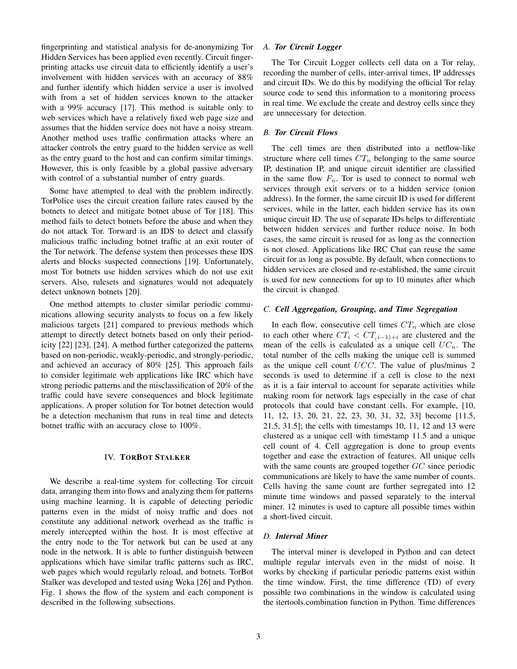fingerprinting and statistical analysis for de-anonymizing Tor Hidden Services has been applied even recently. Circuit fingerprinting attacks use circuit data to efficiently identify a user's involvement with hidden services with an accuracy of 88% and further identify which hidden service a user is involved with from a set of hidden services known to the attacker with a 99% accuracy [17]. This method is suitable only to web services which have a relatively fixed web page size and assumes that the hidden service does not have a noisy stream. Another method uses traffic confirmation attacks where an attacker controls the entry guard to the hidden service as well as the entry guard to the host and can confirm similar timings. However, this is only feasible by a global passive adversary with control of a substantial number of entry guards.

Some have attempted to deal with the problem indirectly. TorPolice uses the circuit creation failure rates caused by the botnets to detect and mitigate botnet abuse of Tor [18]. This method fails to detect botnets before the abuse and when they do not attack Tor. Torward is an IDS to detect and classify malicious traffic including botnet traffic at an exit router of the Tor network. The defense system then processes these IDS alerts and blocks suspected connections [19]. Unfortunately, most Tor botnets use hidden services which do not use exit servers. Also, rulesets and signatures would not adequately detect unknown botnets [20].

One method attempts to cluster similar periodic communications allowing security analysts to focus on a few likely malicious targets [21] compared to previous methods which attempt to directly detect botnets based on only their periodicity [22] [23], [24]. A method further categorized the patterns based on non-periodic, weakly-periodic, and strongly-periodic, and achieved an accuracy of 80% [25]. This approach fails to consider legitimate web applications like IRC which have strong periodic patterns and the misclassification of 20% of the traffic could have severe consequences and block legitimate applications. A proper solution for Tor botnet detection would be a detection mechanism that runs in real time and detects botnet traffic with an accuracy close to 100%.

## IV. TORBOT STALKER

We describe a real-time system for collecting Tor circuit data, arranging them into flows and analyzing them for patterns using machine learning. It is capable of detecting periodic patterns even in the midst of noisy traffic and does not constitute any additional network overhead as the traffic is merely intercepted within the host. It is most effective at the entry node to the Tor network but can be used at any node in the network. It is able to further distinguish between applications which have similar traffic patterns such as IRC, web pages which would regularly reload, and botnets. TorBot Stalker was developed and tested using Weka [26] and Python. Fig. 1 shows the flow of the system and each component is described in the following subsections.

## *A. Tor Circuit Logger*

The Tor Circuit Logger collects cell data on a Tor relay, recording the number of cells, inter-arrival times, IP addresses and circuit IDs. We do this by modifying the official Tor relay source code to send this information to a monitoring process in real time. We exclude the create and destroy cells since they are unnecessary for detection.

#### *B. Tor Circuit Flows*

The cell times are then distributed into a netflow-like structure where cell times  $CT_n$  belonging to the same source IP, destination IP, and unique circuit identifier are classified in the same flow  $F_n$ . Tor is used to connect to normal web services through exit servers or to a hidden service (onion address). In the former, the same circuit ID is used for different services, while in the latter, each hidden service has its own unique circuit ID. The use of separate IDs helps to differentiate between hidden services and further reduce noise. In both cases, the same circuit is reused for as long as the connection is not closed. Applications like IRC Chat can reuse the same circuit for as long as possible. By default, when connections to hidden services are closed and re-established, the same circuit is used for new connections for up to 10 minutes after which the circuit is changed.

#### *C. Cell Aggregation, Grouping, and Time Segregation*

In each flow, consecutive cell times  $CT_n$  which are close to each other where  $CT_i < CT_{i-1}$ <sub>+i</sub> are clustered and the mean of the cells is calculated as a unique cell  $UC_n$ . The total number of the cells making the unique cell is summed as the unique cell count  $UCC$ . The value of plus/minus 2 seconds is used to determine if a cell is close to the next as it is a fair interval to account for separate activities while making room for network lags especially in the case of chat protocols that could have constant cells. For example, [10, 11, 12, 13, 20, 21, 22, 23, 30, 31, 32, 33] become [11.5, 21.5, 31.5]; the cells with timestamps 10, 11, 12 and 13 were clustered as a unique cell with timestamp 11.5 and a unique cell count of 4. Cell aggregation is done to group events together and ease the extraction of features. All unique cells with the same counts are grouped together GC since periodic communications are likely to have the same number of counts. Cells having the same count are further segregated into 12 minute time windows and passed separately to the interval miner. 12 minutes is used to capture all possible times within a short-lived circuit.

## *D. Interval Miner*

The interval miner is developed in Python and can detect multiple regular intervals even in the midst of noise. It works by checking if particular periodic patterns exist within the time window. First, the time difference (TD) of every possible two combinations in the window is calculated using the itertools.combination function in Python. Time differences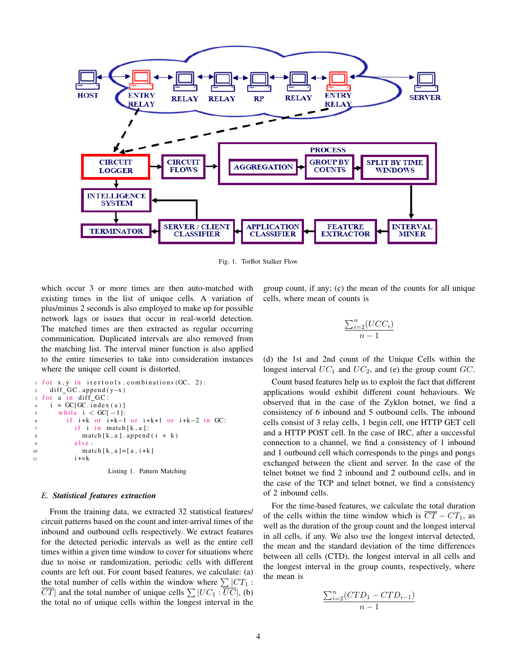

Fig. 1. TorBot Stalker Flow

which occur 3 or more times are then auto-matched with existing times in the list of unique cells. A variation of plus/minus 2 seconds is also employed to make up for possible network lags or issues that occur in real-world detection. The matched times are then extracted as regular occurring communication. Duplicated intervals are also removed from the matching list. The interval miner function is also applied to the entire timeseries to take into consideration instances where the unique cell count is distorted.

```
for x, y in itertools.combinations (GC, 2):
    diff_GC. append (y-x)
3 for a in diff_GC:
    i = GC[GC. index(a)]while i < GC[-1]:
        if i+k or i+k-1 or i+k+1 or i+k-2 in GC:
          if i in match [k, a]:
            match[k, a] . append(i + k)e l s e :
10 match [k, a] = [a, i+k]i + =k
```
Listing 1. Pattern Matching

#### *E. Statistical features extraction*

From the training data, we extracted 32 statistical features/ circuit patterns based on the count and inter-arrival times of the inbound and outbound cells respectively. We extract features for the detected periodic intervals as well as the entire cell times within a given time window to cover for situations where due to noise or randomization, periodic cells with different counts are left out. For count based features, we calculate: (a) the total number of cells within the window where  $\sum |CT_1|$ :  $CT|$  and the total number of unique cells  $\sum |UC_1 : \overline{UC}|$ , (b) the total no of unique cells within the longest interval in the group count, if any; (c) the mean of the counts for all unique cells, where mean of counts is

$$
\frac{\sum_{i=2}^{n} (UCC_i)}{n-1}
$$

(d) the 1st and 2nd count of the Unique Cells within the longest interval  $UC_1$  and  $UC_2$ , and (e) the group count  $GC$ .

Count based features help us to exploit the fact that different applications would exhibit different count behaviours. We observed that in the case of the Zyklon botnet, we find a consistency of 6 inbound and 5 outbound cells. The inbound cells consist of 3 relay cells, 1 begin cell, one HTTP GET cell and a HTTP POST cell. In the case of IRC, after a successful connection to a channel, we find a consistency of 1 inbound and 1 outbound cell which corresponds to the pings and pongs exchanged between the client and server. In the case of the telnet botnet we find 2 inbound and 2 outbound cells, and in the case of the TCP and telnet botnet, we find a consistency of 2 inbound cells.

For the time-based features, we calculate the total duration of the cells within the time window which is  $CT - CT_1$ , as well as the duration of the group count and the longest interval in all cells, if any. We also use the longest interval detected, the mean and the standard deviation of the time differences between all cells (CTD), the longest interval in all cells and the longest interval in the group counts, respectively, where the mean is

$$
\frac{\sum_{i=2}^{n} (CTD_1 - CTD_{i-1})}{n-1}
$$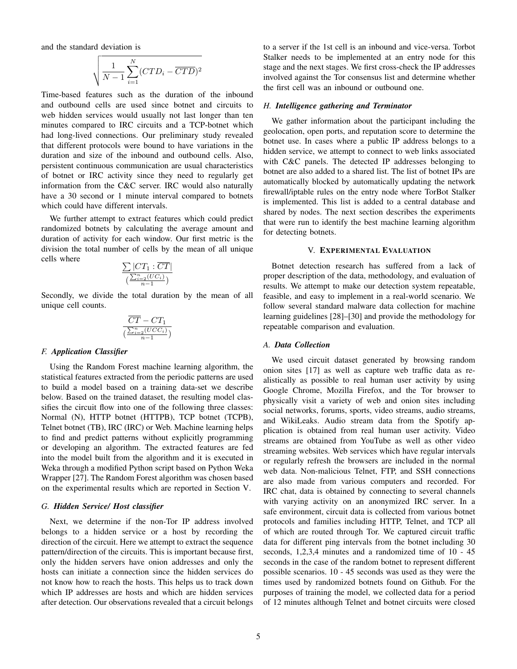and the standard deviation is

$$
\sqrt{\frac{1}{N-1}\sum_{i=1}^{N}(CTD_i-\overline{CTD})^2}
$$

Time-based features such as the duration of the inbound and outbound cells are used since botnet and circuits to web hidden services would usually not last longer than ten minutes compared to IRC circuits and a TCP-botnet which had long-lived connections. Our preliminary study revealed that different protocols were bound to have variations in the duration and size of the inbound and outbound cells. Also, persistent continuous communication are usual characteristics of botnet or IRC activity since they need to regularly get information from the C&C server. IRC would also naturally have a 30 second or 1 minute interval compared to botnets which could have different intervals.

We further attempt to extract features which could predict randomized botnets by calculating the average amount and duration of activity for each window. Our first metric is the division the total number of cells by the mean of all unique cells where

$$
\frac{\sum |CT_1 : \overline{CT}|}{\left(\frac{\sum_{i=2}^n (UC_i)}{n-1}\right)}
$$

Secondly, we divide the total duration by the mean of all unique cell counts.

$$
\frac{\overline{CT} - CT_1}{\left(\frac{\sum_{i=2}^{n} (UCC_i)}{n-1}\right)}
$$

#### *F. Application Classifier*

Using the Random Forest machine learning algorithm, the statistical features extracted from the periodic patterns are used to build a model based on a training data-set we describe below. Based on the trained dataset, the resulting model classifies the circuit flow into one of the following three classes: Normal (N), HTTP botnet (HTTPB), TCP botnet (TCPB), Telnet botnet (TB), IRC (IRC) or Web. Machine learning helps to find and predict patterns without explicitly programming or developing an algorithm. The extracted features are fed into the model built from the algorithm and it is executed in Weka through a modified Python script based on Python Weka Wrapper [27]. The Random Forest algorithm was chosen based on the experimental results which are reported in Section V.

## *G. Hidden Service/ Host classifier*

Next, we determine if the non-Tor IP address involved belongs to a hidden service or a host by recording the direction of the circuit. Here we attempt to extract the sequence pattern/direction of the circuits. This is important because first, only the hidden servers have onion addresses and only the hosts can initiate a connection since the hidden services do not know how to reach the hosts. This helps us to track down which IP addresses are hosts and which are hidden services after detection. Our observations revealed that a circuit belongs to a server if the 1st cell is an inbound and vice-versa. Torbot Stalker needs to be implemented at an entry node for this stage and the next stages. We first cross-check the IP addresses involved against the Tor consensus list and determine whether the first cell was an inbound or outbound one.

## *H. Intelligence gathering and Terminator*

We gather information about the participant including the geolocation, open ports, and reputation score to determine the botnet use. In cases where a public IP address belongs to a hidden service, we attempt to connect to web links associated with C&C panels. The detected IP addresses belonging to botnet are also added to a shared list. The list of botnet IPs are automatically blocked by automatically updating the network firewall/iptable rules on the entry node where TorBot Stalker is implemented. This list is added to a central database and shared by nodes. The next section describes the experiments that were run to identify the best machine learning algorithm for detecting botnets.

## V. EXPERIMENTAL EVALUATION

Botnet detection research has suffered from a lack of proper description of the data, methodology, and evaluation of results. We attempt to make our detection system repeatable, feasible, and easy to implement in a real-world scenario. We follow several standard malware data collection for machine learning guidelines [28]–[30] and provide the methodology for repeatable comparison and evaluation.

#### *A. Data Collection*

We used circuit dataset generated by browsing random onion sites [17] as well as capture web traffic data as realistically as possible to real human user activity by using Google Chrome, Mozilla Firefox, and the Tor browser to physically visit a variety of web and onion sites including social networks, forums, sports, video streams, audio streams, and WikiLeaks. Audio stream data from the Spotify application is obtained from real human user activity. Video streams are obtained from YouTube as well as other video streaming websites. Web services which have regular intervals or regularly refresh the browsers are included in the normal web data. Non-malicious Telnet, FTP, and SSH connections are also made from various computers and recorded. For IRC chat, data is obtained by connecting to several channels with varying activity on an anonymized IRC server. In a safe environment, circuit data is collected from various botnet protocols and families including HTTP, Telnet, and TCP all of which are routed through Tor. We captured circuit traffic data for different ping intervals from the botnet including 30 seconds, 1,2,3,4 minutes and a randomized time of 10 - 45 seconds in the case of the random botnet to represent different possible scenarios. 10 - 45 seconds was used as they were the times used by randomized botnets found on Github. For the purposes of training the model, we collected data for a period of 12 minutes although Telnet and botnet circuits were closed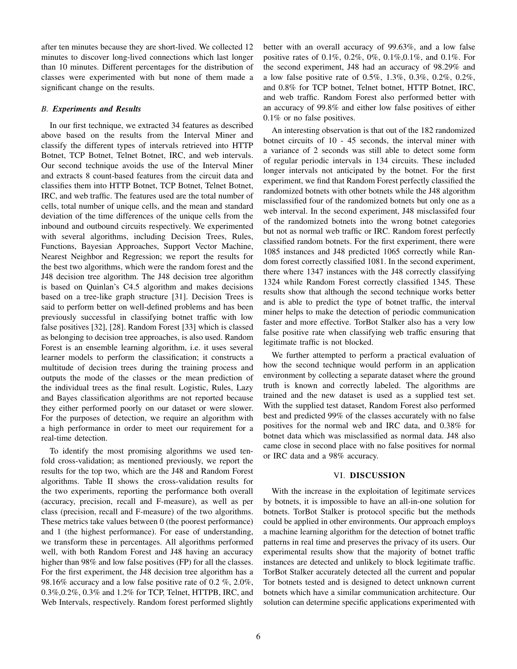after ten minutes because they are short-lived. We collected 12 minutes to discover long-lived connections which last longer than 10 minutes. Different percentages for the distribution of classes were experimented with but none of them made a significant change on the results.

## *B. Experiments and Results*

In our first technique, we extracted 34 features as described above based on the results from the Interval Miner and classify the different types of intervals retrieved into HTTP Botnet, TCP Botnet, Telnet Botnet, IRC, and web intervals. Our second technique avoids the use of the Interval Miner and extracts 8 count-based features from the circuit data and classifies them into HTTP Botnet, TCP Botnet, Telnet Botnet, IRC, and web traffic. The features used are the total number of cells, total number of unique cells, and the mean and standard deviation of the time differences of the unique cells from the inbound and outbound circuits respectively. We experimented with several algorithms, including Decision Trees, Rules, Functions, Bayesian Approaches, Support Vector Machine, Nearest Neighbor and Regression; we report the results for the best two algorithms, which were the random forest and the J48 decision tree algorithm. The J48 decision tree algorithm is based on Quinlan's C4.5 algorithm and makes decisions based on a tree-like graph structure [31]. Decision Trees is said to perform better on well-defined problems and has been previously successful in classifying botnet traffic with low false positives [32], [28]. Random Forest [33] which is classed as belonging to decision tree approaches, is also used. Random Forest is an ensemble learning algorithm, i.e. it uses several learner models to perform the classification; it constructs a multitude of decision trees during the training process and outputs the mode of the classes or the mean prediction of the individual trees as the final result. Logistic, Rules, Lazy and Bayes classification algorithms are not reported because they either performed poorly on our dataset or were slower. For the purposes of detection, we require an algorithm with a high performance in order to meet our requirement for a real-time detection.

To identify the most promising algorithms we used tenfold cross-validation; as mentioned previously, we report the results for the top two, which are the J48 and Random Forest algorithms. Table II shows the cross-validation results for the two experiments, reporting the performance both overall (accuracy, precision, recall and F-measure), as well as per class (precision, recall and F-measure) of the two algorithms. These metrics take values between 0 (the poorest performance) and 1 (the highest performance). For ease of understanding, we transform these in percentages. All algorithms performed well, with both Random Forest and J48 having an accuracy higher than 98% and low false positives (FP) for all the classes. For the first experiment, the J48 decision tree algorithm has a 98.16% accuracy and a low false positive rate of 0.2 %, 2.0%, 0.3%,0.2%, 0.3% and 1.2% for TCP, Telnet, HTTPB, IRC, and Web Intervals, respectively. Random forest performed slightly better with an overall accuracy of 99.63%, and a low false positive rates of 0.1%, 0.2%, 0%, 0.1%,0.1%, and 0.1%. For the second experiment, J48 had an accuracy of 98.29% and a low false positive rate of 0.5%, 1.3%, 0.3%, 0.2%, 0.2%, and 0.8% for TCP botnet, Telnet botnet, HTTP Botnet, IRC, and web traffic. Random Forest also performed better with an accuracy of 99.8% and either low false positives of either 0.1% or no false positives.

An interesting observation is that out of the 182 randomized botnet circuits of 10 - 45 seconds, the interval miner with a variance of 2 seconds was still able to detect some form of regular periodic intervals in 134 circuits. These included longer intervals not anticipated by the botnet. For the first experiment, we find that Random Forest perfectly classified the randomized botnets with other botnets while the J48 algorithm misclassified four of the randomized botnets but only one as a web interval. In the second experiment, J48 misclassifed four of the randomized botnets into the wrong botnet categories but not as normal web traffic or IRC. Random forest perfectly classified random botnets. For the first experiment, there were 1085 instances and J48 predicted 1065 correctly while Random forest correctly classified 1081. In the second experiment, there where 1347 instances with the J48 correctly classifying 1324 while Random Forest correctly classified 1345. These results show that although the second technique works better and is able to predict the type of botnet traffic, the interval miner helps to make the detection of periodic communication faster and more effective. TorBot Stalker also has a very low false positive rate when classifying web traffic ensuring that legitimate traffic is not blocked.

We further attempted to perform a practical evaluation of how the second technique would perform in an application environment by collecting a separate dataset where the ground truth is known and correctly labeled. The algorithms are trained and the new dataset is used as a supplied test set. With the supplied test dataset, Random Forest also performed best and predicted 99% of the classes accurately with no false positives for the normal web and IRC data, and 0.38% for botnet data which was misclassified as normal data. J48 also came close in second place with no false positives for normal or IRC data and a 98% accuracy.

#### VI. DISCUSSION

With the increase in the exploitation of legitimate services by botnets, it is impossible to have an all-in-one solution for botnets. TorBot Stalker is protocol specific but the methods could be applied in other environments. Our approach employs a machine learning algorithm for the detection of botnet traffic patterns in real time and preserves the privacy of its users. Our experimental results show that the majority of botnet traffic instances are detected and unlikely to block legitimate traffic. TorBot Stalker accurately detected all the current and popular Tor botnets tested and is designed to detect unknown current botnets which have a similar communication architecture. Our solution can determine specific applications experimented with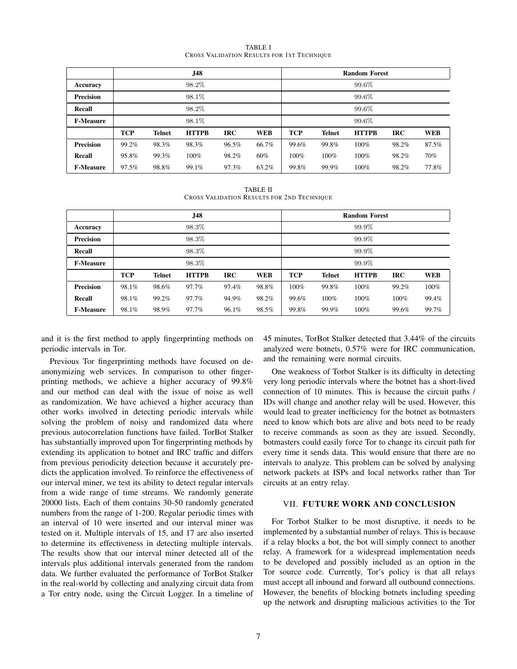|                  | <b>J48</b> |               |              |            |            | <b>Random Forest</b> |               |              |            |            |  |
|------------------|------------|---------------|--------------|------------|------------|----------------------|---------------|--------------|------------|------------|--|
| Accuracy         |            |               | 98.2%        |            |            |                      |               | 99.6%        |            |            |  |
| <b>Precision</b> |            |               | 98.1%        |            |            |                      |               | 99.6%        |            |            |  |
| Recall           |            |               | 98.2%        |            |            |                      |               | 99.6%        |            |            |  |
| <b>F-Measure</b> |            |               | 98.1%        |            |            |                      |               | 99.6%        |            |            |  |
|                  | <b>TCP</b> | <b>Telnet</b> | <b>HTTPB</b> | <b>IRC</b> | <b>WEB</b> | <b>TCP</b>           | <b>Telnet</b> | <b>HTTPB</b> | <b>IRC</b> | <b>WEB</b> |  |
| <b>Precision</b> | 99.2%      | 98.3%         | 98.3%        | 96.5%      | 66.7%      | 99.6%                | 99.8%         | 100%         | 98.2%      | 87.5%      |  |
| Recall           | 95.8%      | 99.3%         | 100%         | 98.2%      | 60%        | $100\%$              | 100%          | 100%         | 98.2%      | 70%        |  |
| <b>F-Measure</b> | 97.5%      | 98.8%         | 99.1%        | 97.3%      | 63.2%      | 99.8%                | 99.9%         | 100%         | 98.2%      | 77.8%      |  |

TABLE I CROSS VALIDATION RESULTS FOR 1ST TECHNIQUE

TABLE II CROSS VALIDATION RESULTS FOR 2ND TECHNIQUE

|                  | J48.       |               |              |            |            | <b>Random Forest</b> |               |              |            |            |  |
|------------------|------------|---------------|--------------|------------|------------|----------------------|---------------|--------------|------------|------------|--|
| Accuracy         |            |               | 98.3%        |            |            |                      |               | 99.9%        |            |            |  |
| <b>Precision</b> |            |               | 98.3%        |            |            |                      |               | 99.9%        |            |            |  |
| Recall           |            |               | 98.3%        |            |            |                      |               | 99.9%        |            |            |  |
| <b>F-Measure</b> |            |               | 98.3%        |            |            |                      |               | 99.9%        |            |            |  |
|                  | <b>TCP</b> | <b>Telnet</b> | <b>HTTPB</b> | <b>IRC</b> | <b>WEB</b> | <b>TCP</b>           | <b>Telnet</b> | <b>HTTPB</b> | <b>IRC</b> | <b>WEB</b> |  |
| <b>Precision</b> | 98.1%      | 98.6%         | 97.7%        | 97.4%      | 98.8%      | $100\%$              | 99.8%         | 100%         | 99.2%      | 100%       |  |
| Recall           | 98.1%      | 99.2%         | 97.7%        | 94.9%      | 98.2%      | 99.6%                | $100\%$       | 100%         | 100%       | 99.4%      |  |
| <b>F-Measure</b> | 98.1%      | 98.9%         | 97.7%        | 96.1%      | 98.5%      | 99.8%                | 99.9%         | 100%         | 99.6%      | 99.7%      |  |

and it is the first method to apply fingerprinting methods on periodic intervals in Tor.

Previous Tor fingerprinting methods have focused on deanonymizing web services. In comparison to other fingerprinting methods, we achieve a higher accuracy of 99.8% and our method can deal with the issue of noise as well as randomization. We have achieved a higher accuracy than other works involved in detecting periodic intervals while solving the problem of noisy and randomized data where previous autocorrelation functions have failed. TorBot Stalker has substantially improved upon Tor fingerprinting methods by extending its application to botnet and IRC traffic and differs from previous periodicity detection because it accurately predicts the application involved. To reinforce the effectiveness of our interval miner, we test its ability to detect regular intervals from a wide range of time streams. We randomly generate 20000 lists. Each of them contains 30-50 randomly generated numbers from the range of 1-200. Regular periodic times with an interval of 10 were inserted and our interval miner was tested on it. Multiple intervals of 15, and 17 are also inserted to determine its effectiveness in detecting multiple intervals. The results show that our interval miner detected all of the intervals plus additional intervals generated from the random data. We further evaluated the performance of TorBot Stalker in the real-world by collecting and analyzing circuit data from a Tor entry node, using the Circuit Logger. In a timeline of

45 minutes, TorBot Stalker detected that 3.44% of the circuits analyzed were botnets, 0.57% were for IRC communication, and the remaining were normal circuits.

One weakness of Torbot Stalker is its difficulty in detecting very long periodic intervals where the botnet has a short-lived connection of 10 minutes. This is because the circuit paths / IDs will change and another relay will be used. However, this would lead to greater inefficiency for the botnet as botmasters need to know which bots are alive and bots need to be ready to receive commands as soon as they are issued. Secondly, botmasters could easily force Tor to change its circuit path for every time it sends data. This would ensure that there are no intervals to analyze. This problem can be solved by analysing network packets at ISPs and local networks rather than Tor circuits at an entry relay.

## VII. FUTURE WORK AND CONCLUSION

For Torbot Stalker to be most disruptive, it needs to be implemented by a substantial number of relays. This is because if a relay blocks a bot, the bot will simply connect to another relay. A framework for a widespread implementation needs to be developed and possibly included as an option in the Tor source code. Currently, Tor's policy is that all relays must accept all inbound and forward all outbound connections. However, the benefits of blocking botnets including speeding up the network and disrupting malicious activities to the Tor